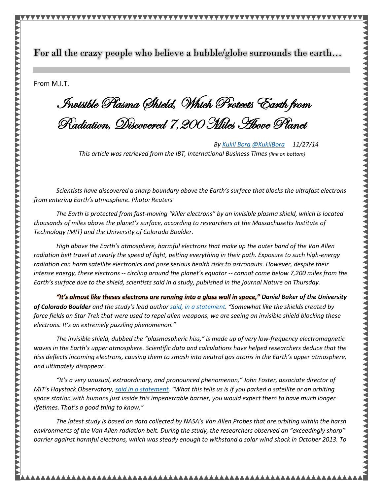For all the crazy people who believe a bubble/globe surrounds the earth… ֖֖֖֖֖֖֖֖֖֖֖֖֖ׅ֖֚֚֚֚֚֚֚֚֚֚֚֚֚֚֚֚֚֚֚֬֝֓֡֞֡֓֞֡֞֡֓֡֬֓֞֡֓֞֡֓֞֡֓֞֡֬֝֬֝֓֞֞

From M.I.T.

ׇ֘֒

 Invisible Plasma Shield, Which Protects Earth from Radiation, Discovered 7,200 Miles Above Planet

*B[y Kukil Bora](http://www.ibtimes.com/reporters/kukil-bora) [@KukilBora](http://www.twitter.com/KukilBora) 11/27/14 This article was retrieved from the IBT, International Business Times (link on bottom)*

*Scientists have discovered a sharp boundary above the Earth's surface that blocks the ultrafast electrons from entering Earth's atmosphere. Photo: Reuters* 

*The Earth is protected from fast-moving "killer electrons" by an invisible plasma shield, which is located thousands of miles above the planet's surface, according to researchers at the Massachusetts Institute of Technology (MIT) and the University of Colorado Boulder.*

*High above the Earth's atmosphere, harmful electrons that make up the outer band of the Van Allen radiation belt travel at nearly the speed of light, pelting everything in their path. Exposure to such high-energy radiation can harm satellite electronics and pose serious health risks to astronauts. However, despite their intense energy, these electrons -- circling around the planet's equator -- cannot come below 7,200 miles from the Earth's surface due to the shield, scientists said in a study, published in the journal Nature on Thursday.*

*"It's almost like theses electrons are running into a glass wall in space," Daniel Baker of the University of Colorado Boulder and the study's lead author [said, in a statement](http://www.colorado.edu/news/releases/2014/11/26/star-trek-invisible-shield-found-thousands-miles-above-earth). "Somewhat like the shields created by force fields on Star Trek that were used to repel alien weapons, we are seeing an invisible shield blocking these electrons. It's an extremely puzzling phenomenon."*

*The invisible shield, dubbed the "plasmaspheric hiss," is made up of very low-frequency electromagnetic waves in the Earth's upper atmosphere. Scientific data and calculations have helped researchers deduce that the hiss deflects incoming electrons, causing them to smash into neutral gas atoms in the Earth's upper atmosphere, and ultimately disappear.*

*"It's a very unusual, extraordinary, and pronounced phenomenon," John Foster, associate director of MIT's Haystack Observatory, [said in a statement](http://newsoffice.mit.edu/2014/plasma-shield-against-harmful-radiation-1126). "What this tells us is if you parked a satellite or an orbiting space station with humans just inside this impenetrable barrier, you would expect them to have much longer lifetimes. That's a good thing to know."*

*The latest study is based on data collected by NASA's Van Allen Probes that are orbiting within the harsh environments of the Van Allen radiation belt. During the study, the researchers observed an "exceedingly sharp" barrier against harmful electrons, which was steady enough to withstand a solar wind shock in October 2013. To*